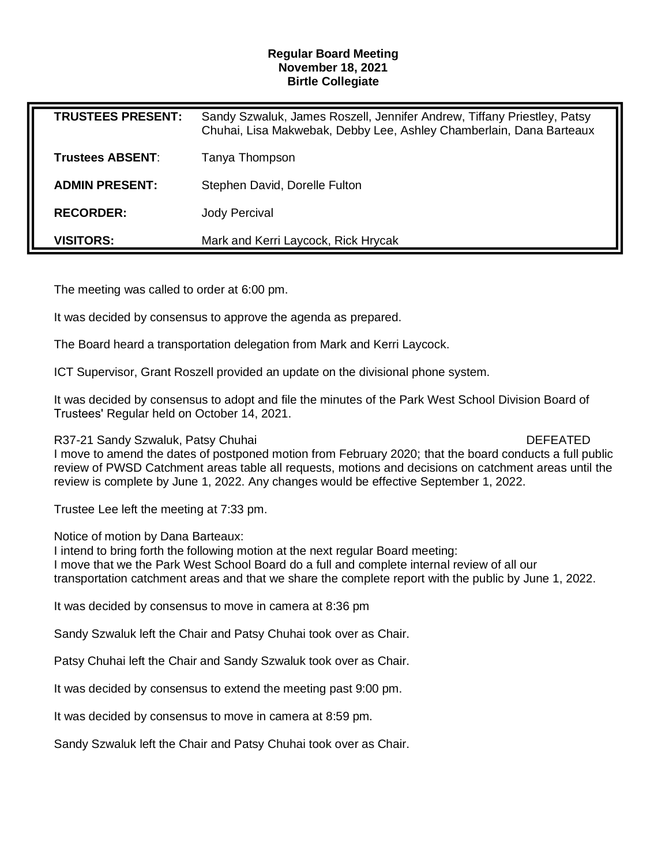### **Regular Board Meeting November 18, 2021 Birtle Collegiate**

| <b>TRUSTEES PRESENT:</b> | Sandy Szwaluk, James Roszell, Jennifer Andrew, Tiffany Priestley, Patsy<br>Chuhai, Lisa Makwebak, Debby Lee, Ashley Chamberlain, Dana Barteaux |
|--------------------------|------------------------------------------------------------------------------------------------------------------------------------------------|
| <b>Trustees ABSENT:</b>  | Tanya Thompson                                                                                                                                 |
| <b>ADMIN PRESENT:</b>    | Stephen David, Dorelle Fulton                                                                                                                  |
| <b>RECORDER:</b>         | Jody Percival                                                                                                                                  |
| <b>VISITORS:</b>         | Mark and Kerri Laycock, Rick Hrycak                                                                                                            |

The meeting was called to order at 6:00 pm.

It was decided by consensus to approve the agenda as prepared.

The Board heard a transportation delegation from Mark and Kerri Laycock.

ICT Supervisor, Grant Roszell provided an update on the divisional phone system.

It was decided by consensus to adopt and file the minutes of the Park West School Division Board of Trustees' Regular held on October 14, 2021.

R37-21 Sandy Szwaluk, Patsy Chuhai DEFEATED **DEFEATED** 

I move to amend the dates of postponed motion from February 2020; that the board conducts a full public review of PWSD Catchment areas table all requests, motions and decisions on catchment areas until the review is complete by June 1, 2022. Any changes would be effective September 1, 2022.

Trustee Lee left the meeting at 7:33 pm.

Notice of motion by Dana Barteaux:

I intend to bring forth the following motion at the next regular Board meeting: I move that we the Park West School Board do a full and complete internal review of all our transportation catchment areas and that we share the complete report with the public by June 1, 2022.

It was decided by consensus to move in camera at 8:36 pm

Sandy Szwaluk left the Chair and Patsy Chuhai took over as Chair.

Patsy Chuhai left the Chair and Sandy Szwaluk took over as Chair.

It was decided by consensus to extend the meeting past 9:00 pm.

It was decided by consensus to move in camera at 8:59 pm.

Sandy Szwaluk left the Chair and Patsy Chuhai took over as Chair.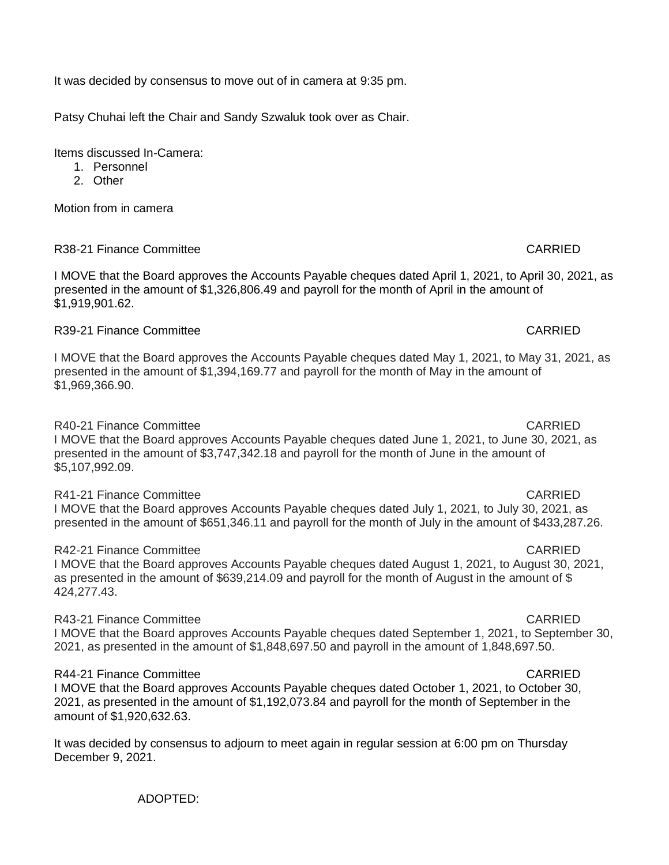ADOPTED:

It was decided by consensus to move out of in camera at 9:35 pm.

Patsy Chuhai left the Chair and Sandy Szwaluk took over as Chair.

Items discussed In-Camera:

- 1. Personnel
- 2. Other

Motion from in camera

# R38-21 Finance Committee Care Care Care CARRIED

I MOVE that the Board approves the Accounts Payable cheques dated April 1, 2021, to April 30, 2021, as presented in the amount of \$1,326,806.49 and payroll for the month of April in the amount of \$1,919,901.62.

# R39-21 Finance Committee **Carried Canadian** CARRIED

I MOVE that the Board approves the Accounts Payable cheques dated May 1, 2021, to May 31, 2021, as presented in the amount of \$1,394,169.77 and payroll for the month of May in the amount of \$1,969,366.90.

# R40-21 Finance Committee **CARRIED CARRIED**

I MOVE that the Board approves Accounts Payable cheques dated June 1, 2021, to June 30, 2021, as presented in the amount of \$3,747,342.18 and payroll for the month of June in the amount of \$5,107,992.09.

# R41-21 Finance Committee Care Care Care CARRIED

I MOVE that the Board approves Accounts Payable cheques dated July 1, 2021, to July 30, 2021, as presented in the amount of \$651,346.11 and payroll for the month of July in the amount of \$433,287.26.

# R42-21 Finance Committee **CARRIED**

I MOVE that the Board approves Accounts Payable cheques dated August 1, 2021, to August 30, 2021, as presented in the amount of \$639,214.09 and payroll for the month of August in the amount of \$ 424,277.43.

# R43-21 Finance Committee **CARRIED**

I MOVE that the Board approves Accounts Payable cheques dated September 1, 2021, to September 30, 2021, as presented in the amount of \$1,848,697.50 and payroll in the amount of 1,848,697.50.

# R44-21 Finance Committee **CARRIED**

I MOVE that the Board approves Accounts Payable cheques dated October 1, 2021, to October 30, 2021, as presented in the amount of \$1,192,073.84 and payroll for the month of September in the amount of \$1,920,632.63.

It was decided by consensus to adjourn to meet again in regular session at 6:00 pm on Thursday December 9, 2021.